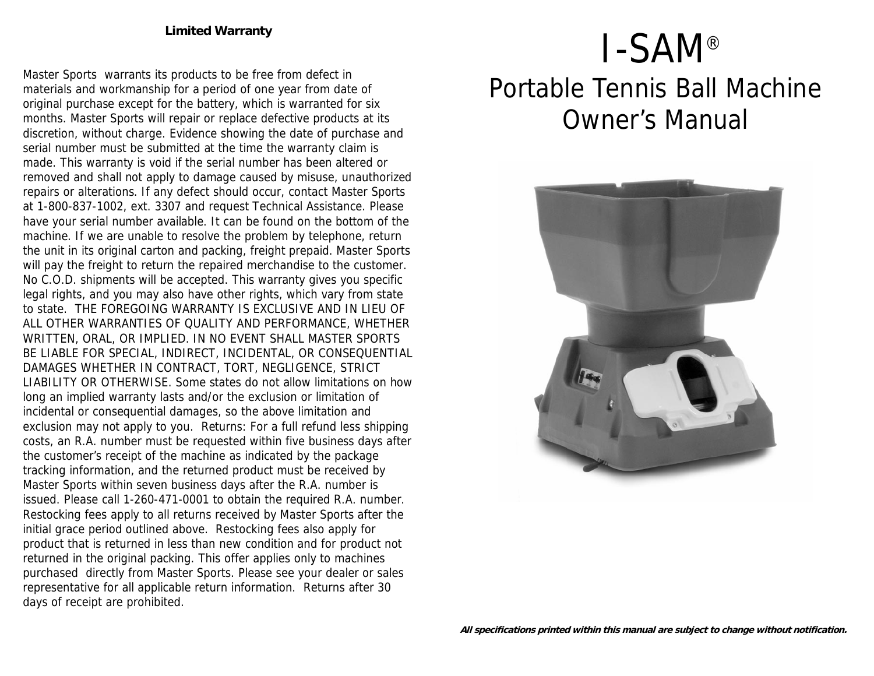**Limited Warranty**

Master Sports warrants its products to be free from defect in materials and workmanship for a period of one year from date of original purchase except for the battery, which is warranted for six months. Master Sports will repair or replace defective products at its discretion, without charge. Evidence showing the date of purchase and serial number must be submitted at the time the warranty claim is made. This warranty is void if the serial number has been altered or removed and shall not apply to damage caused by misuse, unauthorized repairs or alterations. If any defect should occur, contact Master Sports at 1-800-837-1002, ext. 3307 and request Technical Assistance. Please have your serial number available. It can be found on the bottom of the machine. If we are unable to resolve the problem by telephone, return the unit in its original carton and packing, freight prepaid. Master Sports will pay the freight to return the repaired merchandise to the customer. No C.O.D. shipments will be accepted. This warranty gives you specific legal rights, and you may also have other rights, which vary from state to state. THE FOREGOING WARRANTY IS EXCLUSIVE AND IN LIEU OF ALL OTHER WARRANTIES OF QUALITY AND PERFORMANCE, WHETHER WRITTEN, ORAL, OR IMPLIED. IN NO EVENT SHALL MASTER SPORTS BE LIABLE FOR SPECIAL, INDIRECT, INCIDENTAL, OR CONSEQUENTIAL DAMAGES WHETHER IN CONTRACT, TORT, NEGLIGENCE, STRICT LIABILITY OR OTHERWISE. Some states do not allow limitations on how long an implied warranty lasts and/or the exclusion or limitation of incidental or consequential damages, so the above limitation and exclusion may not apply to you. Returns: For a full refund less shipping costs, an R.A. number must be requested within five business days after the customer's receipt of the machine as indicated by the package tracking information, and the returned product must be received by Master Sports within seven business days after the R.A. number is issued. Please call 1-260-471-0001 to obtain the required R.A. number. Restocking fees apply to all returns received by Master Sports after the initial grace period outlined above. Restocking fees also apply for product that is returned in less than new condition and for product not returned in the original packing. This offer applies only to machines purchased directly from Master Sports. Please see your dealer or sales representative for all applicable return information. Returns after 30 days of receipt are prohibited.

# I-SAM® Portable Tennis Ball Machine Owner's Manual

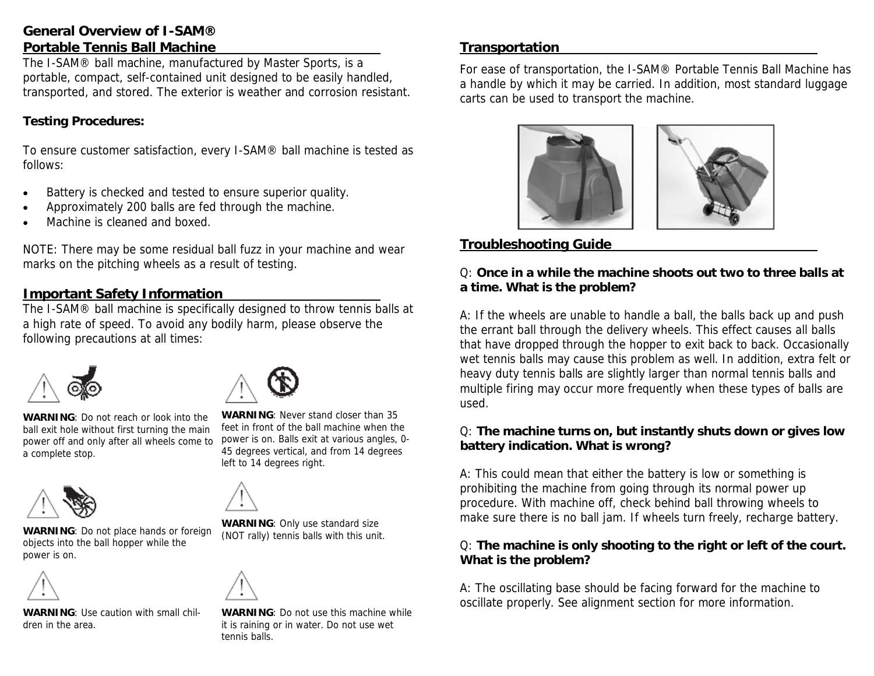# **General Overview of I-SAM® Portable Tennis Ball Machine**

The I-SAM® ball machine, manufactured by Master Sports, is a portable, compact, self-contained unit designed to be easily handled, transported, and stored. The exterior is weather and corrosion resistant.

**Testing Procedures:**

To ensure customer satisfaction, every I-SAM® ball machine is tested as follows:

- Battery is checked and tested to ensure superior quality.
- Approximately 200 balls are fed through the machine.
- Machine is cleaned and boxed.

NOTE: There may be some residual ball fuzz in your machine and wear marks on the pitching wheels as a result of testing.

# **Important Safety Information**

The I-SAM® ball machine is specifically designed to throw tennis balls at a high rate of speed. To avoid any bodily harm, please observe the following precautions at all times:



**WARNING**: Do not reach or look into the ball exit hole without first turning the main power off and only after all wheels come to a complete stop.



**WARNING**: Do not place hands or foreign objects into the ball hopper while the power is on.



**WARNING**: Use caution with small children in the area.



**WARNING**: Never stand closer than 35 feet in front of the ball machine when the power is on. Balls exit at various angles, 0- 45 degrees vertical, and from 14 degrees left to 14 degrees right.



**WARNING**: Only use standard size (NOT rally) tennis balls with this unit.



**WARNING**: Do not use this machine while it is raining or in water. Do not use wet tennis balls.

# **Transportation**

For ease of transportation, the I-SAM® Portable Tennis Ball Machine has a handle by which it may be carried. In addition, most standard luggage carts can be used to transport the machine.



# **Troubleshooting Guide**

Q: **Once in a while the machine shoots out two to three balls at a time. What is the problem?**

A: If the wheels are unable to handle a ball, the balls back up and push the errant ball through the delivery wheels. This effect causes all balls that have dropped through the hopper to exit back to back. Occasionally wet tennis balls may cause this problem as well. In addition, extra felt or heavy duty tennis balls are slightly larger than normal tennis balls and multiple firing may occur more frequently when these types of balls are used.

Q: **The machine turns on, but instantly shuts down or gives low battery indication. What is wrong?**

A: This could mean that either the battery is low or something is prohibiting the machine from going through its normal power up procedure. With machine off, check behind ball throwing wheels to make sure there is no ball jam. If wheels turn freely, recharge battery.

Q: **The machine is only shooting to the right or left of the court. What is the problem?**

A: The oscillating base should be facing forward for the machine to oscillate properly. See alignment section for more information.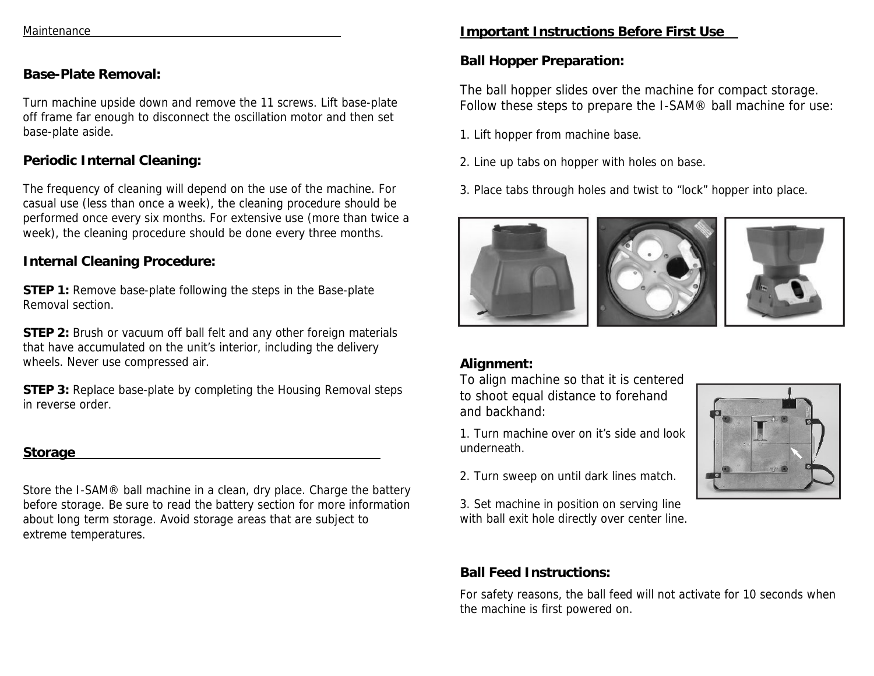## **Base-Plate Removal:**

Turn machine upside down and remove the 11 screws. Lift base-plate off frame far enough to disconnect the oscillation motor and then set base-plate aside.

## **Periodic Internal Cleaning:**

The frequency of cleaning will depend on the use of the machine. For casual use (less than once a week), the cleaning procedure should be performed once every six months. For extensive use (more than twice a week), the cleaning procedure should be done every three months.

### **Internal Cleaning Procedure:**

**STEP 1:** Remove base-plate following the steps in the Base-plate Removal section.

**STEP 2:** Brush or vacuum off ball felt and any other foreign materials that have accumulated on the unit's interior, including the delivery wheels. Never use compressed air.

**STEP 3:** Replace base-plate by completing the Housing Removal steps in reverse order.

#### **Storage**

Store the I-SAM® ball machine in a clean, dry place. Charge the battery before storage. Be sure to read the battery section for more information about long term storage. Avoid storage areas that are subject to extreme temperatures.

# **Important Instructions Before First Use**

**Ball Hopper Preparation:** 

The ball hopper slides over the machine for compact storage. Follow these steps to prepare the I-SAM® ball machine for use:

1. Lift hopper from machine base.

2. Line up tabs on hopper with holes on base.

3. Place tabs through holes and twist to "lock" hopper into place.



## **Alignment:**

To align machine so that it is centered to shoot equal distance to forehand and backhand:

1. Turn machine over on it's side and look underneath.

2. Turn sweep on until dark lines match.

3. Set machine in position on serving line with ball exit hole directly over center line.

## **Ball Feed Instructions:**

For safety reasons, the ball feed will not activate for 10 seconds when the machine is first powered on.